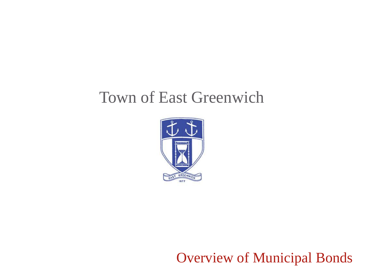# Town of East Greenwich



Overview of Municipal Bonds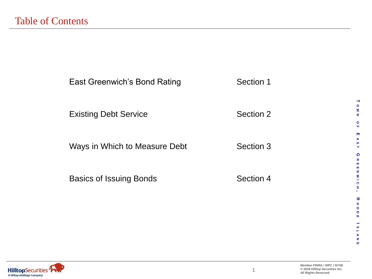| <b>East Greenwich's Bond Rating</b> | Section 1 |  |
|-------------------------------------|-----------|--|
| <b>Existing Debt Service</b>        | Section 2 |  |
| Ways in Which to Measure Debt       | Section 3 |  |
| <b>Basics of Issuing Bonds</b>      | Section 4 |  |
|                                     |           |  |



 $\overline{\phantom{a}}$ **O W N**

**O F E A S T**

**G**

 $\pmb{\pi}$  $\mathfrak{m}$ 

**R E E N W I C H**

ENWICH

**, R**

**HODE**

 $\pm$  $\circ$  $\blacksquare$  $\overline{\rm m}$ 

**I**

 $\frac{8}{1}$  $\frac{6}{5}$  $\mathbf \sigma$ 

**S L A N D**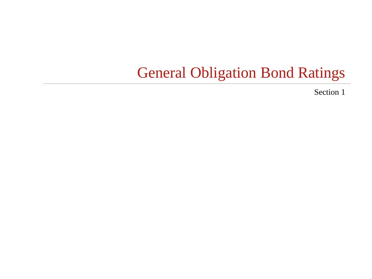# General Obligation Bond Ratings

Section 1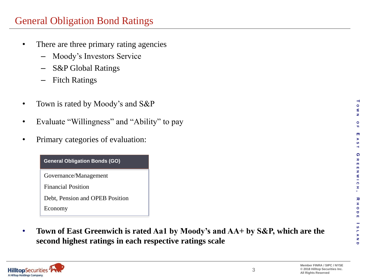## General Obligation Bond Ratings

- There are three primary rating agencies
	- Moody's Investors Service
	- S&P Global Ratings
	- Fitch Ratings
- Town is rated by Moody's and S&P
- Evaluate "Willingness" and "Ability" to pay
- Primary categories of evaluation:

#### **General Obligation Bonds (GO)**

Governance/Management

Financial Position

Debt, Pension and OPEB Position

Economy

• **Town of East Greenwich is rated Aa1 by Moody's and AA+ by S&P, which are the second highest ratings in each respective ratings scale**



**T O W N**

**O F E A S T**

**G**

 $\pmb{\pi}$  $\mathbf{m}$  $\mathbf{m}$ N W I C  $\pm$ 

**R E E N W I C H**

**, R**

**HODE**

œ.  $\circ$  $\mathbf{\sigma}$  $\blacksquare$ 

**S L A N D**

SLAN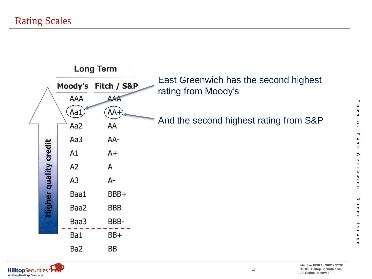



**T O W N**

**O F E A S T**

**G**

 $\pmb{\pi}$  $\overline{\mathbf{m}}$ 

**R E E N W I C H**

 $\overline{\text{m}}$ N W I C

**, R**

 $\pm$ 

**HODE**

 $\circ$  $\blacksquare$ m

œ.

**I**

S H

**S L A N D**

 $\frac{6}{1}$  $\blacksquare$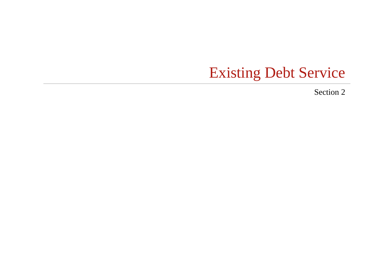# Existing Debt Service

Section 2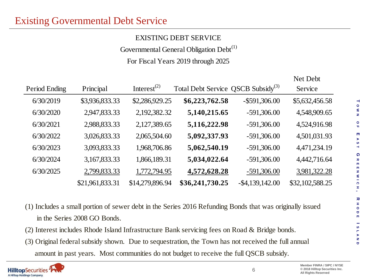#### EXISTING DEBT SERVICE

Governmental General Obligation Debt<sup>(1)</sup>

For Fiscal Years 2019 through 2025

| Period Ending | Principal       | Interest <sup><math>(2)</math></sup> | Total Debt Service QSCB Subsidy <sup>(3)</sup> |                    | Net Debt<br>Service |
|---------------|-----------------|--------------------------------------|------------------------------------------------|--------------------|---------------------|
| 6/30/2019     | \$3,936,833.33  | \$2,286,929.25                       | \$6,223,762.58                                 | $-$ \$591,306.00   | \$5,632,456.58      |
| 6/30/2020     | 2,947,833.33    | 2,192,382.32                         | 5,140,215.65                                   | $-591,306.00$      | 4,548,909.65        |
| 6/30/2021     | 2,988,833.33    | 2,127,389.65                         | 5,116,222.98                                   | $-591,306.00$      | 4,524,916.98        |
| 6/30/2022     | 3,026,833.33    | 2,065,504.60                         | 5,092,337.93                                   | $-591,306.00$      | 4,501,031.93        |
| 6/30/2023     | 3,093,833.33    | 1,968,706.86                         | 5,062,540.19                                   | $-591,306.00$      | 4,471,234.19        |
| 6/30/2024     | 3,167,833.33    | 1,866,189.31                         | 5,034,022.64                                   | $-591,306.00$      | 4,442,716.64        |
| 6/30/2025     | 2,799,833.33    | 1,772,794.95                         | 4,572,628.28                                   | $-591,306.00$      | 3,981,322.28        |
|               | \$21,961,833.31 | \$14,279,896.94                      | \$36,241,730.25                                | $-$ \$4,139,142.00 | \$32,102,588.25     |
|               |                 |                                      |                                                |                    |                     |

- (1) Includes a small portion of sewer debt in the Series 2016 Refunding Bonds that was originally issued in the Series 2008 GO Bonds.
- (2) Interest includes Rhode Island Infrastructure Bank servicing fees on Road & Bridge bonds.
- (3) Original federal subsidy shown. Due to sequestration, the Town has not received the full annual amount in past years. Most communities do not budget to receive the full QSCB subsidy.



Net Debt

**T O W N**

**O F E A S T**

**G**

ᅔ  $\mathbf{m}$ m N W I C  $\pm$ 

**R E E N W I C H**

**, R**

**HODE**

 $\mathbf{r}$  $\circ$ Ō m

**S L A N D**

 $\boldsymbol{\omega}$ H  $\frac{v}{z}$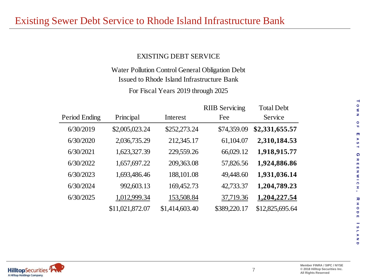#### EXISTING DEBT SERVICE

Water Pollution Control General Obligation Debt Issued to Rhode Island Infrastructure Bank

For Fiscal Years 2019 through 2025

|               |                 |                | <b>RIIB</b> Servicing | <b>Total Debt</b> |
|---------------|-----------------|----------------|-----------------------|-------------------|
| Period Ending | Principal       | Interest       | Fee                   | Service           |
| 6/30/2019     | \$2,005,023.24  | \$252,273.24   | \$74,359.09           | \$2,331,655.57    |
| 6/30/2020     | 2,036,735.29    | 212,345.17     | 61,104.07             | 2,310,184.53      |
| 6/30/2021     | 1,623,327.39    | 229,559.26     | 66,029.12             | 1,918,915.77      |
| 6/30/2022     | 1,657,697.22    | 209,363.08     | 57,826.56             | 1,924,886.86      |
| 6/30/2023     | 1,693,486.46    | 188,101.08     | 49,448.60             | 1,931,036.14      |
| 6/30/2024     | 992,603.13      | 169,452.73     | 42,733.37             | 1,204,789.23      |
| 6/30/2025     | 1,012,999.34    | 153,508.84     | 37,719.36             | 1,204,227.54      |
|               | \$11,021,872.07 | \$1,414,603.40 | \$389,220.17          | \$12,825,695.64   |

 $\overline{\phantom{0}}$ **O W N**

**O F E A S T**

**G**

 $\pmb{\pi}$  $\overline{\mathbf{m}}$  $\overline{\mathbf{m}}$ N W I C  $\mathbf x$ 

**R E E N W I C H**

**, R**

**HODE**

œ.  $\circ$  $\hbox{\tt\small o}$  $\mathbf{m}$ 

**S L A N D**

S H  $\frac{6}{1}$  $\blacksquare$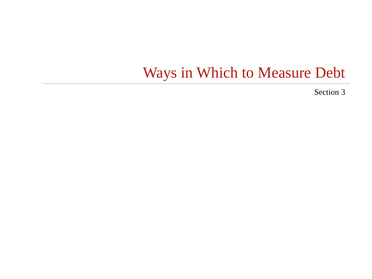# Ways in Which to Measure Debt

Section 3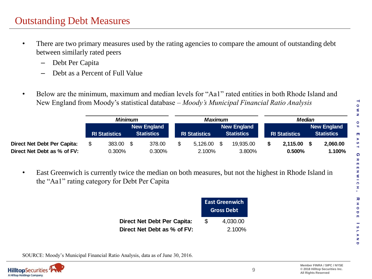### Outstanding Debt Measures

- There are two primary measures used by the rating agencies to compare the amount of outstanding debt between similarly rated peers
	- Debt Per Capita
	- Debt as a Percent of Full Value
- Below are the minimum, maximum and median levels for "Aa1" rated entities in both Rhode Island and New England from Moody's statistical database – *Moody's Municipal Financial Ratio Analysis*

|                                                                   | <b>Minimum</b> |                      |  | Maximum                                 |  |                      |  | <b>Median</b>                           |  |                       |  |                                         |
|-------------------------------------------------------------------|----------------|----------------------|--|-----------------------------------------|--|----------------------|--|-----------------------------------------|--|-----------------------|--|-----------------------------------------|
|                                                                   |                | <b>RI Statistics</b> |  | <b>New England</b><br><b>Statistics</b> |  | <b>RI Statistics</b> |  | <b>New England</b><br><b>Statistics</b> |  | <b>RI Statistics</b>  |  | <b>New England</b><br><b>Statistics</b> |
| <b>Direct Net Debt Per Capita:</b><br>Direct Net Debt as % of FV: |                | 383.00<br>0.300%     |  | 378.00<br>0.300%                        |  | 5,126.00<br>2.100%   |  | 19,935.00<br>3.800%                     |  | 2,115.00<br>$0.500\%$ |  | 2,060.00<br>1.100%                      |

• East Greenwich is currently twice the median on both measures, but not the highest in Rhode Island in the "Aa1" rating category for Debt Per Capita

|                             |     | <b>East Greenwich</b><br><b>Gross Debt</b> |
|-----------------------------|-----|--------------------------------------------|
| Direct Net Debt Per Capita: | \$. | 4,030.00                                   |
| Direct Net Debt as % of FV: |     | 2.100%                                     |

SOURCE: Moody's Municipal Financial Ratio Analysis, data as of June 30, 2016.

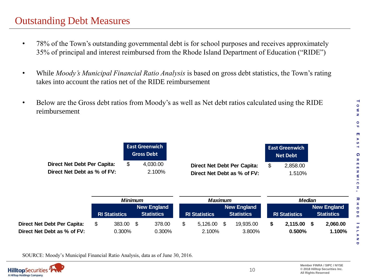- 78% of the Town's outstanding governmental debt is for school purposes and receives approximately 35% of principal and interest reimbursed from the Rhode Island Department of Education ("RIDE")
- While *Moody's Municipal Financial Ratio Analysis* is based on gross debt statistics, the Town's rating takes into account the ratios net of the RIDE reimbursement
- Below are the Gross debt ratios from Moody's as well as Net debt ratios calculated using the RIDE reimbursement

|                                                                   |                | <b>East Greenwich</b><br><b>Gross Debt</b> |                                                                                   | <b>East Greenwich</b><br><b>Net Debt</b> |
|-------------------------------------------------------------------|----------------|--------------------------------------------|-----------------------------------------------------------------------------------|------------------------------------------|
| <b>Direct Net Debt Per Capita:</b><br>Direct Net Debt as % of FV: | \$             | 4,030.00<br>2.100%                         | <b>Direct Net Debt Per Capita:</b><br>Direct Net Debt as % of FV:                 | \$<br>2,858.00<br>1.510%                 |
|                                                                   | <b>Minimum</b> | <b>New England</b><br><b>Statistics</b>    | <b>Maximum</b><br><b>New England</b><br><b>Statistics</b><br><b>RI Statistics</b> | <b>Median</b><br><b>RI Statistics</b>    |

|                                                            | Minimum |                      |  | Maximum                                 |  |                      | <b>Median</b> |                                         |  |                       |  |                                         |
|------------------------------------------------------------|---------|----------------------|--|-----------------------------------------|--|----------------------|---------------|-----------------------------------------|--|-----------------------|--|-----------------------------------------|
|                                                            |         | <b>RI Statistics</b> |  | <b>New England</b><br><b>Statistics</b> |  | <b>RI Statistics</b> |               | <b>New England</b><br><b>Statistics</b> |  | <b>RI Statistics</b>  |  | <b>New England</b><br><b>Statistics</b> |
| Direct Net Debt Per Capita:<br>Direct Net Debt as % of FV: |         | 383.00<br>$0.300\%$  |  | 378.00<br>$0.300\%$                     |  | 5,126.00<br>2.100%   |               | 19,935.00<br>3.800%                     |  | 2,115.00<br>$0.500\%$ |  | 2,060.00<br>1.100%                      |

SOURCE: Moody's Municipal Financial Ratio Analysis, data as of June 30, 2016.



**T O W N**

**O F E A S T**

**G**

 $\pmb{\pi}$  $\overline{m}$  $\overline{m}$ N W I C  $\pm$ 

**R E E N W I C H**

**, R**

**HODE**

 $\pm$  $\circ$  $\bullet$  $\mathbf{m}$ 

**S L A N D**

 $\frac{8}{1}$  $\frac{8}{1}$  $\bullet$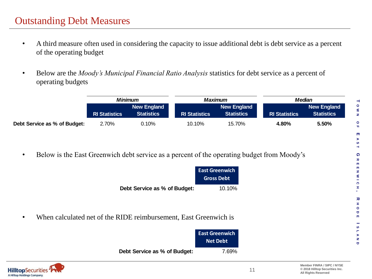- A third measure often used in considering the capacity to issue additional debt is debt service as a percent of the operating budget
- Below are the *Moody's Municipal Financial Ratio Analysis* statistics for debt service as a percent of operating budgets

|                              | <b>Minimum</b>       |                                  |                      | Maximum                          | Median               |                                         |  |  |
|------------------------------|----------------------|----------------------------------|----------------------|----------------------------------|----------------------|-----------------------------------------|--|--|
|                              | <b>RI Statistics</b> | New England<br><b>Statistics</b> | <b>RI Statistics</b> | New England<br><b>Statistics</b> | <b>RI Statistics</b> | <b>New England</b><br><b>Statistics</b> |  |  |
| Debt Service as % of Budget: | 2.70%                | 0.10%                            | 10.10%               | 15.70%                           | 4.80%                | 5.50%                                   |  |  |

• Below is the East Greenwich debt service as a percent of the operating budget from Moody's

|                              | <b>East Greenwich</b> |
|------------------------------|-----------------------|
|                              | <b>Gross Debt</b>     |
| Debt Service as % of Budget: | $10.10\%$             |

• When calculated net of the RIDE reimbursement, East Greenwich is



**T O W N**

**O F E A S T**

**G**

 $\pmb{\pi}$  $\mathbf{m}$  $\overline{m}$ N W I C  $\pm$ 

**R E E N W I C H**

**, R**

**HODE**

œ.  $\circ$  $\blacksquare$  $\mathbf{m}$ 

**I**

S H  $\frac{8}{1}$ Ó

**S L A N D**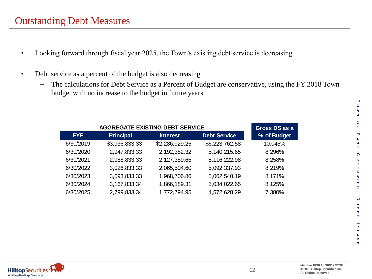### Outstanding Debt Measures

- Looking forward through fiscal year 2025, the Town's existing debt service is decreasing
- Debt service as a percent of the budget is also decreasing
	- The calculations for Debt Service as a Percent of Budget are conservative, using the FY 2018 Town budget with no increase to the budget in future years

|            | Gross DS as a    |                 |                     |             |
|------------|------------------|-----------------|---------------------|-------------|
| <b>FYE</b> | <b>Principal</b> | <b>Interest</b> | <b>Debt Service</b> | % of Budget |
| 6/30/2019  | \$3,936,833.33   | \$2,286,929.25  | \$6,223,762.58      | 10.045%     |
| 6/30/2020  | 2,947,833.33     | 2,192,382.32    | 5,140,215.65        | 8.296%      |
| 6/30/2021  | 2,988,833.33     | 2,127,389.65    | 5,116,222.98        | 8.258%      |
| 6/30/2022  | 3,026,833.33     | 2,065,504.60    | 5,092,337.93        | 8.219%      |
| 6/30/2023  | 3,093,833.33     | 1,968,706.86    | 5,062,540.19        | 8.171%      |
| 6/30/2024  | 3, 167, 833. 34  | 1,866,189.31    | 5,034,022.65        | 8.125%      |
| 6/30/2025  | 2,799,833.34     | 1,772,794.95    | 4,572,628.29        | 7.380%      |

 $\overline{\phantom{a}}$ **O W N**

**O F E A S T**

**G**

 $\pmb{\pi}$  $\overline{\mathfrak{m}}$ 

**R E E N W I C H**

ENWIC

**, R**

Ŧ,

**HODE**

 $\pm$  $\circ$  $\hbox{\tt\small o}$  $\mathbf{m}$ 

**S L A N D**

 $\frac{8}{1}$  $\frac{8}{1}$  $\mathbf{\sigma}$ 

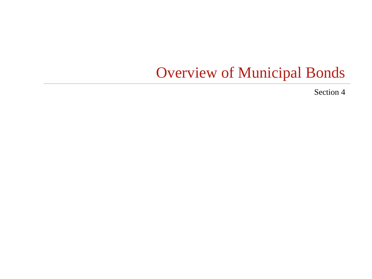# Overview of Municipal Bonds

Section 4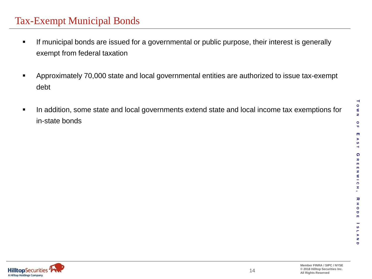## Tax-Exempt Municipal Bonds

- **If municipal bonds are issued for a governmental or public purpose, their interest is generally** exempt from federal taxation
- Approximately 70,000 state and local governmental entities are authorized to issue tax-exempt debt
- In addition, some state and local governments extend state and local income tax exemptions for in-state bonds

**T O W N**

**O F**

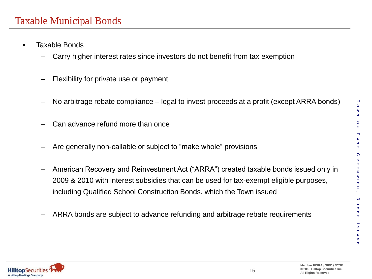#### Taxable Municipal Bonds

- **Taxable Bonds** 
	- Carry higher interest rates since investors do not benefit from tax exemption
	- Flexibility for private use or payment
	- No arbitrage rebate compliance legal to invest proceeds at a profit (except ARRA bonds)
	- Can advance refund more than once
	- Are generally non-callable or subject to "make whole" provisions
	- American Recovery and Reinvestment Act ("ARRA") created taxable bonds issued only in 2009 & 2010 with interest subsidies that can be used for tax-exempt eligible purposes, including Qualified School Construction Bonds, which the Town issued
	- ARRA bonds are subject to advance refunding and arbitrage rebate requirements



**T O W N**

**O F**

**E**  $\mathbf{F}$ 

**G**

 $\pmb{\pi}$ m m N W I C Ŧ

**R E E N W I C H**

**, R**

**HODE**

œ,  $\circ$ Ō m

**S L A N D**

S  $\frac{6}{1}$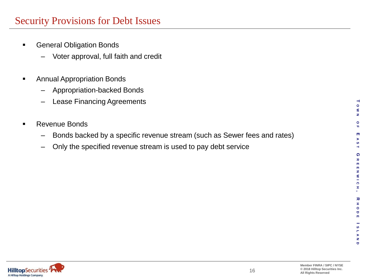### Security Provisions for Debt Issues

- **General Obligation Bonds** 
	- Voter approval, full faith and credit
- **Annual Appropriation Bonds** 
	- Appropriation-backed Bonds
	- Lease Financing Agreements
- **Revenue Bonds** 
	- Bonds backed by a specific revenue stream (such as Sewer fees and rates)
	- Only the specified revenue stream is used to pay debt service

**T O W N**

**O F E A S T**

**G**

 $\pmb{\pi}$  $\mathbf{m}$  $\overline{\mathbf{m}}$ N W I C  $\pm$ 

**R E E N W I C H**

**, R**

**HODE**

œ.  $\circ$  $\bullet$  $\blacksquare$ 

**S L A N D**

S H  $\frac{6}{1}$  $\Box$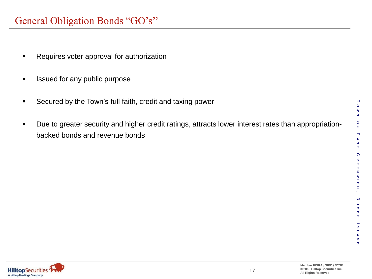### General Obligation Bonds "GO's''

- **Requires voter approval for authorization**
- **In Itsued for any public purpose**
- **Secured by the Town's full faith, credit and taxing power**
- Due to greater security and higher credit ratings, attracts lower interest rates than appropriationbacked bonds and revenue bonds

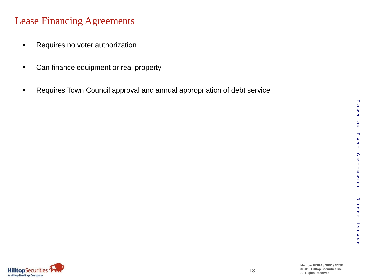- **Requires no voter authorization**
- **Can finance equipment or real property**
- **Requires Town Council approval and annual appropriation of debt service**

**T**

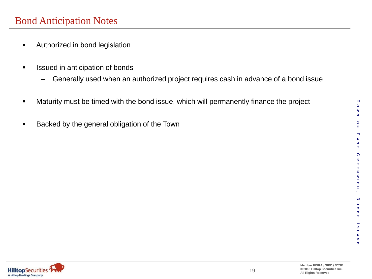- **EXECUTE:** Authorized in bond legislation
- **If** Issued in anticipation of bonds
	- Generally used when an authorized project requires cash in advance of a bond issue
- **Maturity must be timed with the bond issue, which will permanently finance the project**
- **Backed by the general obligation of the Town**

 $\overline{\phantom{a}}$ **O W N**

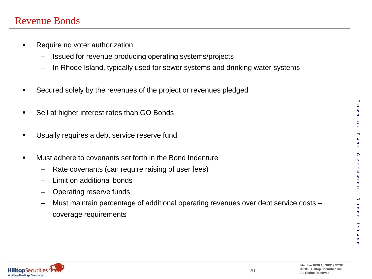#### Revenue Bonds

- **Require no voter authorization** 
	- Issued for revenue producing operating systems/projects
	- In Rhode Island, typically used for sewer systems and drinking water systems
- Secured solely by the revenues of the project or revenues pledged
- Sell at higher interest rates than GO Bonds
- **Usually requires a debt service reserve fund**
- **Must adhere to covenants set forth in the Bond Indenture** 
	- Rate covenants (can require raising of user fees)
	- Limit on additional bonds
	- Operating reserve funds
	- Must maintain percentage of additional operating revenues over debt service costs coverage requirements



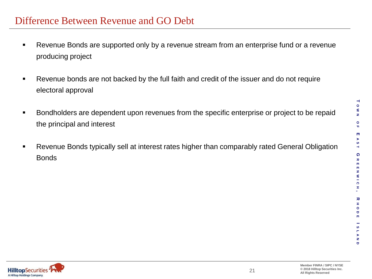- Revenue Bonds are supported only by a revenue stream from an enterprise fund or a revenue producing project
- Revenue bonds are not backed by the full faith and credit of the issuer and do not require electoral approval
- **Bondholders are dependent upon revenues from the specific enterprise or project to be repaid** the principal and interest
- **Revenue Bonds typically sell at interest rates higher than comparably rated General Obligation** Bonds

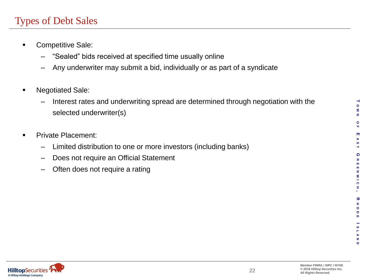## Types of Debt Sales

- **Competitive Sale:** 
	- "Sealed" bids received at specified time usually online
	- Any underwriter may submit a bid, individually or as part of a syndicate
- **Negotiated Sale:** 
	- Interest rates and underwriting spread are determined through negotiation with the selected underwriter(s)
- **Private Placement:**

**HilltopSecurities** A Hilltop Holdings Company.

- Limited distribution to one or more investors (including banks)
- Does not require an Official Statement
- Often does not require a rating

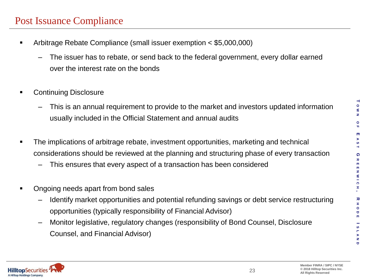### Post Issuance Compliance

- Arbitrage Rebate Compliance (small issuer exemption < \$5,000,000)
	- The issuer has to rebate, or send back to the federal government, every dollar earned over the interest rate on the bonds
- Continuing Disclosure
	- This is an annual requirement to provide to the market and investors updated information usually included in the Official Statement and annual audits
- The implications of arbitrage rebate, investment opportunities, marketing and technical considerations should be reviewed at the planning and structuring phase of every transaction
	- This ensures that every aspect of a transaction has been considered
- Ongoing needs apart from bond sales
	- Identify market opportunities and potential refunding savings or debt service restructuring opportunities (typically responsibility of Financial Advisor)
	- Monitor legislative, regulatory changes (responsibility of Bond Counsel, Disclosure Counsel, and Financial Advisor)



**T O W N**

**O F**

**E**